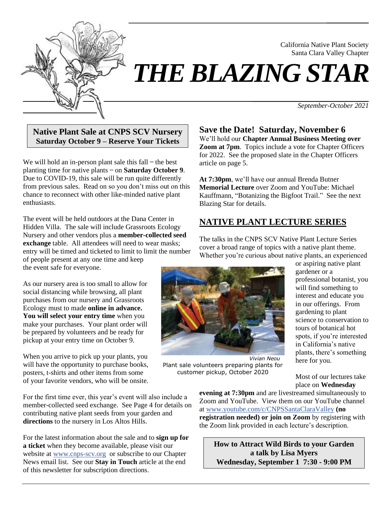

# *THE BLAZING STAR*

*September-October 2021*

California Native Plant Society Santa Clara Valley Chapter

**Native Plant Sale at CNPS SCV Nursery Saturday October 9 – Reserve Your Tickets**

We will hold an in-person plant sale this  $fall$  – the best planting time for native plants ̶ on **Saturday October 9**. Due to COVID-19, this sale will be run quite differently from previous sales. Read on so you don't miss out on this chance to reconnect with other like-minded native plant enthusiasts.

The event will be held outdoors at the Dana Center in Hidden Villa. The sale will include Grassroots Ecology Nursery and other vendors plus a **member-collected seed exchange** table. All attendees will need to wear masks; entry will be timed and ticketed to limit to limit the number of people present at any one time and keep the event safe for everyone.

As our nursery area is too small to allow for social distancing while browsing, all plant purchases from our nursery and Grassroots Ecology must to made **online in advance. You will select your entry time** when you make your purchases. Your plant order will be prepared by volunteers and be ready for pickup at your entry time on October 9.

When you arrive to pick up your plants, you will have the opportunity to purchase books, posters, t-shirts and other items from some of your favorite vendors, who will be onsite.

For the first time ever, this year's event will also include a member-collected seed exchange. See Page 4 for details on contributing native plant seeds from your garden and **directions** to the nursery in Los Altos Hills.

For the latest information about the sale and to **sign up for a ticket** when they become available, please visit our website at [www.cnps-scv.org](https://www.cnps-scv.org/) or subscribe to our Chapter News email list. See our **Stay in Touch** article at the end of this newsletter for subscription directions.

**Save the Date! Saturday, November 6** We'll hold our **Chapter Annual Business Meeting over Zoom at 7pm**. Topics include a vote for Chapter Officers for 2022. See the proposed slate in the Chapter Officers article on page 5.

**At 7:30pm**, we'll have our annual Brenda Butner **Memorial Lecture** over Zoom and YouTube: Michael Kauffmann, "Botanizing the Bigfoot Trail." See the next Blazing Star for details.

# **NATIVE PLANT LECTURE SERIES**

The talks in the CNPS SCV Native Plant Lecture Series cover a broad range of topics with a native plant theme. Whether you're curious about native plants, an experienced



*Vivian Neou* Plant sale volunteers preparing plants for customer pickup, October 2020

or aspiring native plant gardener or a professional botanist, you will find something to interest and educate you in our offerings. From gardening to plant science to conservation to tours of botanical hot spots, if you're interested in California's native plants, there's something here for you.

Most of our lectures take place on **Wednesday** 

**evening at 7:30pm** and are livestreamed simultaneously to Zoom and YouTube. View them on our YouTube channel at [www.youtube.com/c/CNPSSantaClaraValley](https://www.youtube.com/c/CNPSSantaClaraValley) **(no registration needed) or join on Zoom** by registering with the Zoom link provided in each lecture's description.

**How to Attract Wild Birds to your Garden a talk by Lisa Myers Wednesday, September 1 7:30 - 9:00 PM**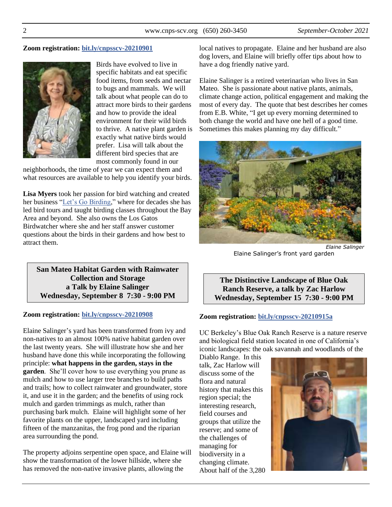#### **Zoom registration: [bit.ly/cnpsscv-20210901](https://bit.ly/cnpsscv-20210901)**



Birds have evolved to live in specific habitats and eat specific food items, from seeds and nectar to bugs and mammals. We will talk about what people can do to attract more birds to their gardens and how to provide the ideal environment for their wild birds to thrive. A native plant garden is exactly what native birds would prefer. Lisa will talk about the different bird species that are most commonly found in our

neighborhoods, the time of year we can expect them and what resources are available to help you identify your birds.

**Lisa Myers** took her passion for bird watching and created her business ["Let's Go Birding,](https://www.letsgobirding.com/)" where for decades she has led bird tours and taught birding classes throughout the Bay Area and beyond. She also owns the Los Gatos Birdwatcher where she and her staff answer customer questions about the birds in their gardens and how best to attract them.

**San Mateo Habitat Garden with Rainwater Collection and Storage a Talk by Elaine Salinger Wednesday, September 8 7:30 - 9:00 PM**

#### **Zoom registration: [bit.ly/cnpsscv-20210908](https://bit.ly/cnpsscv-20210908)**

Elaine Salinger's yard has been transformed from ivy and non-natives to an almost 100% native habitat garden over the last twenty years. She will illustrate how she and her husband have done this while incorporating the following principle: **what happens in the garden, stays in the garden**. She'll cover how to use everything you prune as mulch and how to use larger tree branches to build paths and trails; how to collect rainwater and groundwater, store it, and use it in the garden; and the benefits of using rock mulch and garden trimmings as mulch, rather than purchasing bark mulch. Elaine will highlight some of her favorite plants on the upper, landscaped yard including fifteen of the manzanitas, the frog pond and the riparian area surrounding the pond.

The property adjoins serpentine open space, and Elaine will show the transformation of the lower hillside, where she has removed the non-native invasive plants, allowing the

local natives to propagate. Elaine and her husband are also dog lovers, and Elaine will briefly offer tips about how to have a dog friendly native yard.

Elaine Salinger is a retired veterinarian who lives in San Mateo. She is passionate about native plants, animals, climate change action, political engagement and making the most of every day. The quote that best describes her comes from E.B. White, "I get up every morning determined to both change the world and have one hell of a good time. Sometimes this makes planning my day difficult."



Elaine Salinger's front yard garden

**The Distinctive Landscape of Blue Oak Ranch Reserve, a talk by Zac Harlow Wednesday, September 15 7:30 - 9:00 PM**

#### **Zoom registration: [bit.ly/cnpsscv-20210915a](https://bit.ly/cnpsscv-20210915a)**

UC Berkeley's Blue Oak Ranch Reserve is a nature reserve and biological field station located in one of California's iconic landscapes: the oak savannah and woodlands of the

Diablo Range. In this talk, Zac Harlow will discuss some of the flora and natural history that makes this region special; the interesting research, field courses and groups that utilize the reserve; and some of the challenges of managing for biodiversity in a changing climate. About half of the 3,280

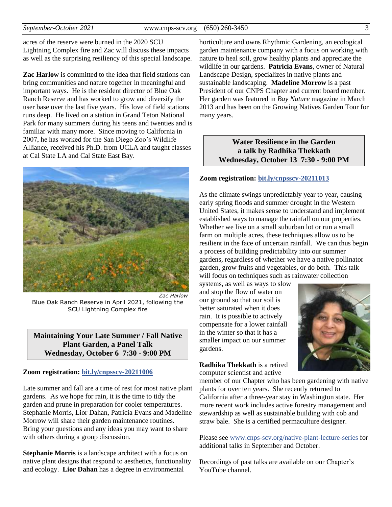acres of the reserve were burned in the 2020 SCU Lightning Complex fire and Zac will discuss these impacts as well as the surprising resiliency of this special landscape.

**Zac Harlow** is committed to the idea that field stations can bring communities and nature together in meaningful and important ways. He is the resident director of Blue Oak Ranch Reserve and has worked to grow and diversify the user base over the last five years. His love of field stations runs deep. He lived on a station in Grand Teton National Park for many summers during his teens and twenties and is familiar with many more. Since moving to California in 2007, he has worked for the San Diego Zoo's Wildlife Alliance, received his Ph.D. from UCLA and taught classes at Cal State LA and Cal State East Bay.



*Zac Harlow* Blue Oak Ranch Reserve in April 2021, following the SCU Lightning Complex fire

#### **Maintaining Your Late Summer / Fall Native Plant Garden, a Panel Talk Wednesday, October 6 7:30 - 9:00 PM**

#### **Zoom registration: [bit.ly/cnpsscv-20211006](https://bit.ly/cnpsscv-20211006)**

Late summer and fall are a time of rest for most native plant gardens. As we hope for rain, it is the time to tidy the garden and prune in preparation for cooler temperatures. Stephanie Morris, Lior Dahan, Patricia Evans and Madeline Morrow will share their garden maintenance routines. Bring your questions and any ideas you may want to share with others during a group discussion.

**Stephanie Morris** is a landscape architect with a focus on native plant designs that respond to aesthetics, functionality and ecology. **Lior Dahan** has a degree in environmental

horticulture and owns Rhythmic Gardening, an ecological garden maintenance company with a focus on working with nature to heal soil, grow healthy plants and appreciate the wildlife in our gardens. **Patricia Evans**, owner of Natural Landscape Design, specializes in native plants and sustainable landscaping. **Madeline Morrow** is a past President of our CNPS Chapter and current board member. Her garden was featured in *Bay Nature* magazine in March 2013 and has been on the Growing Natives Garden Tour for many years.

#### **Water Resilience in the Garden a talk by Radhika Thekkath Wednesday, October 13 7:30 - 9:00 PM**

#### **Zoom registration: [bit.ly/cnpsscv-20211013](https://bit.ly/cnpsscv-20211013)**

As the climate swings unpredictably year to year, causing early spring floods and summer drought in the Western United States, it makes sense to understand and implement established ways to manage the rainfall on our properties. Whether we live on a small suburban lot or run a small farm on multiple acres, these techniques allow us to be resilient in the face of uncertain rainfall. We can thus begin a process of building predictability into our summer gardens, regardless of whether we have a native pollinator garden, grow fruits and vegetables, or do both. This talk will focus on techniques such as rainwater collection

systems, as well as ways to slow and stop the flow of water on our ground so that our soil is better saturated when it does rain. It is possible to actively compensate for a lower rainfall in the winter so that it has a smaller impact on our summer gardens.



#### **Radhika Thekkath** is a retired computer scientist and active

member of our Chapter who has been gardening with native plants for over ten years. She recently returned to California after a three-year stay in Washington state. Her more recent work includes active forestry management and stewardship as well as sustainable building with cob and straw bale. She is a certified permaculture designer.

Please see [www.cnps-scv.org/native-plant-lecture-series](https://www.cnps-scv.org/native-plant-lecture-series) for additional talks in September and October.

Recordings of past talks are available on our Chapter's YouTube channel.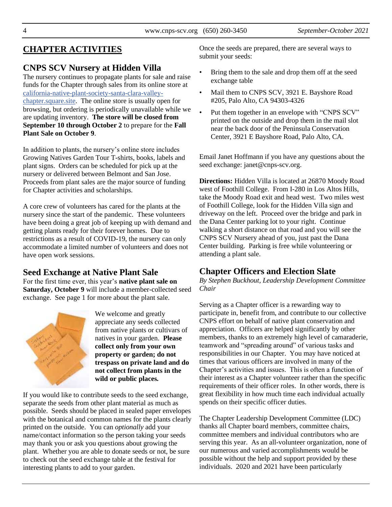# **CHAPTER ACTIVITIES**

## **CNPS SCV Nursery at Hidden Villa**

The nursery continues to propagate plants for sale and raise funds for the Chapter through sales from its online store at [california-native-plant-society-santa-clara-valley](https://california-native-plant-society-santa-clara-valley-chapter.square.site/)[chapter.square.site.](https://california-native-plant-society-santa-clara-valley-chapter.square.site/) The online store is usually open for browsing, but ordering is periodically unavailable while we are updating inventory. **The store will be closed from September 10 through October 2** to prepare for the **Fall Plant Sale on October 9**.

In addition to plants, the nursery's online store includes Growing Natives Garden Tour T-shirts, books, labels and plant signs. Orders can be scheduled for pick up at the nursery or delivered between Belmont and San Jose. Proceeds from plant sales are the major source of funding for Chapter activities and scholarships.

A core crew of volunteers has cared for the plants at the nursery since the start of the pandemic. These volunteers have been doing a great job of keeping up with demand and getting plants ready for their forever homes. Due to restrictions as a result of COVID-19, the nursery can only accommodate a limited number of volunteers and does not have open work sessions.

#### **Seed Exchange at Native Plant Sale**

For the first time ever, this year's **native plant sale on Saturday, October 9** will include a member-collected seed exchange. See page 1 for more about the plant sale.



We welcome and greatly appreciate any seeds collected from native plants or cultivars of natives in your garden. **Please collect only from your own property or garden; do not trespass on private land and do not collect from plants in the wild or public places***.*

If you would like to contribute seeds to the seed exchange, separate the seeds from other plant material as much as possible. Seeds should be placed in sealed paper envelopes with the botanical and common names for the plants clearly printed on the outside. You can *optionally* add your name/contact information so the person taking your seeds may thank you or ask you questions about growing the plant. Whether you are able to donate seeds or not, be sure to check out the seed exchange table at the festival for interesting plants to add to your garden.

Once the seeds are prepared, there are several ways to submit your seeds:

- Bring them to the sale and drop them off at the seed exchange table
- Mail them to CNPS SCV, 3921 E. Bayshore Road #205, Palo Alto, CA 94303-4326
- Put them together in an envelope with "CNPS SCV" printed on the outside and drop them in the mail slot near the back door of the Peninsula Conservation Center, 3921 E Bayshore Road, Palo Alto, CA.

Email Janet Hoffmann if you have any questions about the seed exchange: janet@cnps-scv.org.

**Directions:** Hidden Villa is located at 26870 Moody Road west of Foothill College. From I-280 in Los Altos Hills, take the Moody Road exit and head west. Two miles west of Foothill College, look for the Hidden Villa sign and driveway on the left. Proceed over the bridge and park in the Dana Center parking lot to your right. Continue walking a short distance on that road and you will see the CNPS SCV Nursery ahead of you, just past the Dana Center building. Parking is free while volunteering or attending a plant sale.

# **Chapter Officers and Election Slate**

*By Stephen Buckhout, Leadership Development Committee Chair*

Serving as a Chapter officer is a rewarding way to participate in, benefit from, and contribute to our collective CNPS effort on behalf of native plant conservation and appreciation. Officers are helped significantly by other members, thanks to an extremely high level of camaraderie, teamwork and "spreading around" of various tasks and responsibilities in our Chapter. You may have noticed at times that various officers are involved in many of the Chapter's activities and issues. This is often a function of their interest as a Chapter volunteer rather than the specific requirements of their officer roles. In other words, there is great flexibility in how much time each individual actually spends on their specific officer duties.

The Chapter Leadership Development Committee (LDC) thanks all Chapter board members, committee chairs, committee members and individual contributors who are serving this year. As an all-volunteer organization, none of our numerous and varied accomplishments would be possible without the help and support provided by these individuals. 2020 and 2021 have been particularly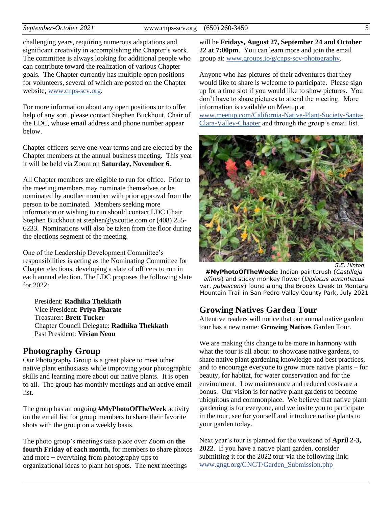challenging years, requiring numerous adaptations and significant creativity in accomplishing the Chapter's work. The committee is always looking for additional people who can contribute toward the realization of various Chapter goals. The Chapter currently has multiple open positions for volunteers, several of which are posted on the Chapter website, [www.cnps-scv.org.](https://www.cnps-scv.org/)

For more information about any open positions or to offer help of any sort, please contact Stephen Buckhout, Chair of the LDC, whose email address and phone number appear below.

Chapter officers serve one-year terms and are elected by the Chapter members at the annual business meeting. This year it will be held via Zoom on **Saturday, November 6**.

All Chapter members are eligible to run for office. Prior to the meeting members may nominate themselves or be nominated by another member with prior approval from the person to be nominated. Members seeking more information or wishing to run should contact LDC Chair Stephen Buckhout at stephen@yscottie.com or (408) 255- 6233. Nominations will also be taken from the floor during the elections segment of the meeting.

One of the Leadership Development Committee's responsibilities is acting as the Nominating Committee for Chapter elections, developing a slate of officers to run in each annual election. The LDC proposes the following slate for 2022:

President: **Radhika Thekkath** Vice President: **Priya Pharate** Treasurer: **Brett Tucker** Chapter Council Delegate: **Radhika Thekkath** Past President: **Vivian Neou**

#### **Photography Group**

Our Photography Group is a great place to meet other native plant enthusiasts while improving your photographic skills and learning more about our native plants. It is open to all. The group has monthly meetings and an active email list.

The group has an ongoing **#MyPhotoOfTheWeek** activity on the email list for group members to share their favorite shots with the group on a weekly basis.

The photo group's meetings take place over Zoom on **the fourth Friday of each month,** for members to share photos and more  $-$  everything from photography tips to organizational ideas to plant hot spots. The next meetings

will be **Fridays, August 27, September 24 and October 22 at 7:00pm**. You can learn more and join the email group at: [www.groups.io/g/cnps-scv-photography.](https://www.groups.io/g/CNPS-SCV-Photography)

Anyone who has pictures of their adventures that they would like to share is welcome to participate. Please sign up for a time slot if you would like to show pictures. You don't have to share pictures to attend the meeting. More information is available on Meetup at

[www.meetup.com/California-Native-Plant-Society-Santa-](https://www.meetup.com/California-Native-Plant-Society-Santa-Clara-Valley-Chapter/)[Clara-Valley-Chapter](https://www.meetup.com/California-Native-Plant-Society-Santa-Clara-Valley-Chapter/) and through the group's email list.



*S.E. Hinton*

**#MyPhotoOfTheWeek:** Indian paintbrush (*Castilleja affinis*) and sticky monkey flower (*Diplacus aurantiacus* var. *pubescens*) found along the Brooks Creek to Montara Mountain Trail in San Pedro Valley County Park, July 2021

#### **Growing Natives Garden Tour**

Attentive readers will notice that our annual native garden tour has a new name: **Growing Natives** Garden Tour.

We are making this change to be more in harmony with what the tour is all about: to showcase native gardens, to share native plant gardening knowledge and best practices, and to encourage everyone to grow more native plants – for beauty, for habitat, for water conservation and for the environment. Low maintenance and reduced costs are a bonus. Our vision is for native plant gardens to become ubiquitous and commonplace. We believe that native plant gardening is for everyone, and we invite you to participate in the tour, see for yourself and introduce native plants to your garden today.

Next year's tour is planned for the weekend of **April 2-3, 2022**. If you have a native plant garden, consider submitting it for the 2022 tour via the following link: [www.gngt.org/GNGT/Garden\\_Submission.php](https://gngt.org/GNGT/Garden_Submission.php)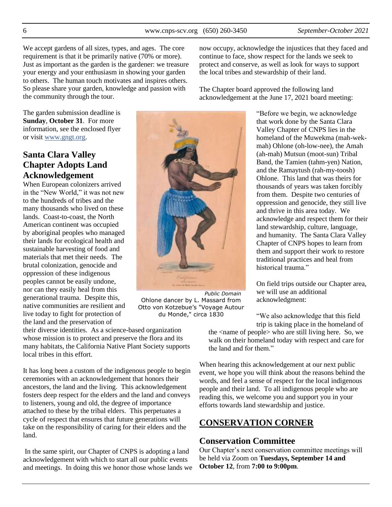We accept gardens of all sizes, types, and ages. The core requirement is that it be primarily native (70% or more). Just as important as the garden is the gardener: we treasure your energy and your enthusiasm in showing your garden to others. The human touch motivates and inspires others. So please share your garden, knowledge and passion with the community through the tour.

The garden submission deadline is **Sunday**, **October 31**. For more information, see the enclosed flyer or visit [www.gngt.org.](https://www.gngt.org/)

# **Santa Clara Valley Chapter Adopts Land Acknowledgement**

When European colonizers arrived in the "New World," it was not new to the hundreds of tribes and the many thousands who lived on these lands. Coast-to-coast, the North American continent was occupied by aboriginal peoples who managed their lands for ecological health and sustainable harvesting of food and materials that met their needs. The brutal colonization, genocide and oppression of these indigenous peoples cannot be easily undone, nor can they easily heal from this generational trauma. Despite this, native communities are resilient and live today to fight for protection of the land and the preservation of

Otto von Kotzebue's "Voyage Autour du Monde," circa 1830

their diverse identities. As a science-based organization whose mission is to protect and preserve the flora and its many habitats, the California Native Plant Society supports local tribes in this effort.

It has long been a custom of the indigenous people to begin ceremonies with an acknowledgement that honors their ancestors, the land and the living. This acknowledgement fosters deep respect for the elders and the land and conveys to listeners, young and old, the degree of importance attached to these by the tribal elders. This perpetuates a cycle of respect that ensures that future generations will take on the responsibility of caring for their elders and the land.

In the same spirit, our Chapter of CNPS is adopting a land acknowledgement with which to start all our public events and meetings. In doing this we honor those whose lands we now occupy, acknowledge the injustices that they faced and continue to face, show respect for the lands we seek to protect and conserve, as well as look for ways to support the local tribes and stewardship of their land.

The Chapter board approved the following land acknowledgement at the June 17, 2021 board meeting:

> "Before we begin, we acknowledge that work done by the Santa Clara Valley Chapter of CNPS lies in the homeland of the Muwekma (mah-wekmah) Ohlone (oh-low-nee), the Amah (ah-mah) Mutsun (moot-sun) Tribal Band, the Tamien (tahm-yen) Nation, and the Ramaytush (rah-my-toosh) Ohlone. This land that was theirs for thousands of years was taken forcibly from them. Despite two centuries of oppression and genocide, they still live and thrive in this area today. We acknowledge and respect them for their land stewardship, culture, language, and humanity. The Santa Clara Valley Chapter of CNPS hopes to learn from them and support their work to restore traditional practices and heal from historical trauma."

On field trips outside our Chapter area, we will use an additional acknowledgment:

"We also acknowledge that this field trip is taking place in the homeland of

the <name of people> who are still living here. So, we walk on their homeland today with respect and care for the land and for them."

When hearing this acknowledgement at our next public event, we hope you will think about the reasons behind the words, and feel a sense of respect for the local indigenous people and their land. To all indigenous people who are reading this, we welcome you and support you in your efforts towards land stewardship and justice.

## **CONSERVATION CORNER**

#### **Conservation Committee**

Our Chapter's next conservation committee meetings will be held via Zoom on **Tuesdays, September 14 and October 12**, from **7:00 to 9:00pm**.

Ohlone dancer by L. Massard from

*Public Domain*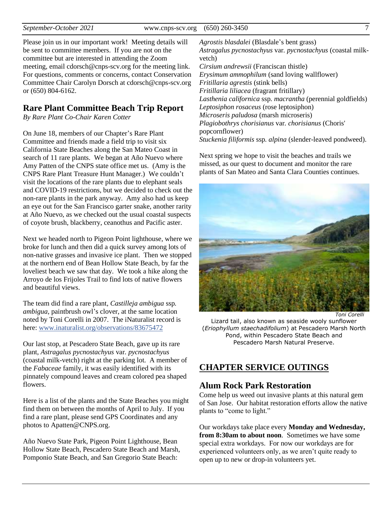Please join us in our important work! Meeting details will be sent to committee members. If you are not on the committee but are interested in attending the Zoom meeting, email cdorsch@cnps-scv.org for the meeting link. For questions, comments or concerns, contact Conservation Committee Chair Carolyn Dorsch at cdorsch@cnps-scv.org or (650) 804-6162.

## **Rare Plant Committee Beach Trip Report**

*By Rare Plant Co-Chair Karen Cotter*

On June 18, members of our Chapter's Rare Plant Committee and friends made a field trip to visit six California State Beaches along the San Mateo Coast in search of 11 rare plants. We began at Año Nuevo where Amy Patten of the CNPS state office met us. (Amy is the CNPS Rare Plant Treasure Hunt Manager.) We couldn't visit the locations of the rare plants due to elephant seals and COVID-19 restrictions, but we decided to check out the non-rare plants in the park anyway. Amy also had us keep an eye out for the San Francisco garter snake, another rarity at Año Nuevo, as we checked out the usual coastal suspects of coyote brush, blackberry, ceanothus and Pacific aster.

Next we headed north to Pigeon Point lighthouse, where we broke for lunch and then did a quick survey among lots of non-native grasses and invasive ice plant. Then we stopped at the northern end of Bean Hollow State Beach, by far the loveliest beach we saw that day. We took a hike along the Arroyo de los Frijoles Trail to find lots of native flowers and beautiful views.

The team did find a rare plant, *Castilleja ambigua* ssp*. ambigua*, paintbrush owl's clover, at the same location noted by Toni Corelli in 2007. The iNaturalist record is here[: www.inaturalist.org/observations/83675472](https://www.inaturalist.org/observations/83675472)

Our last stop, at Pescadero State Beach, gave up its rare plant, *Astragalus pycnostachyus* var*. pycnostachyus* (coastal milk-vetch) right at the parking lot. A member of the *Fabaceae* family, it was easily identified with its pinnately compound leaves and cream colored pea shaped flowers.

Here is a list of the plants and the State Beaches you might find them on between the months of April to July. If you find a rare plant, please send GPS Coordinates and any photos to Apatten@CNPS.org.

Año Nuevo State Park, Pigeon Point Lighthouse, Bean Hollow State Beach, Pescadero State Beach and Marsh, Pomponio State Beach, and San Gregorio State Beach:

*Agrostis blasdalei* (Blasdale's bent grass) *Astragalus pycnostachyus* var*. pycnostachyus* (coastal milkvetch) *Cirsium andrewsii* (Franciscan thistle) *Erysimum ammophilum* (sand loving wallflower) *Fritillaria agrestis* (stink bells) *Fritillaria liliacea* (fragrant fritillary) *Lasthenia californica* ssp*. macrantha* (perennial goldfields) *Leptosiphon rosaceus* (rose leptosiphon) *Microseris paludosa* (marsh microseris) *Plagiobothrys chorisianus* var*. chorisianus* (Choris' popcornflower) *Stuckenia filiformis* ssp*. alpina* (slender-leaved pondweed).

Next spring we hope to visit the beaches and trails we missed, as our quest to document and monitor the rare plants of San Mateo and Santa Clara Counties continues.



*Toni Corelli*

Lizard tail, also known as seaside wooly sunflower (*Eriophyllum staechadifolium*) at Pescadero Marsh North Pond, within Pescadero State Beach and Pescadero Marsh Natural Preserve.

# **CHAPTER SERVICE OUTINGS**

## **Alum Rock Park Restoration**

Come help us weed out invasive plants at this natural gem of San Jose. Our habitat restoration efforts allow the native plants to "come to light."

Our workdays take place every **Monday and Wednesday, from 8:30am to about noon**. Sometimes we have some special extra workdays. For now our workdays are for experienced volunteers only, as we aren't quite ready to open up to new or drop-in volunteers yet.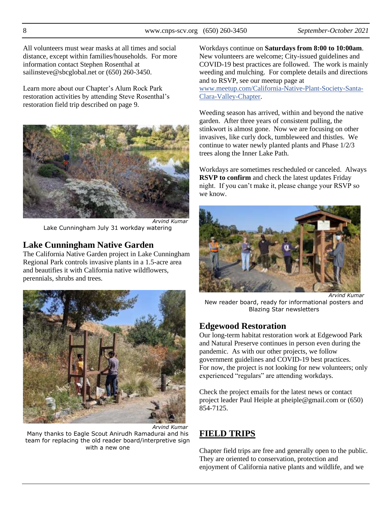All volunteers must wear masks at all times and social distance, except within families/households. For more information contact Stephen Rosenthal at sailinsteve@sbcglobal.net or (650) 260-3450.

Learn more about our Chapter's Alum Rock Park restoration activities by attending Steve Rosenthal's restoration field trip described on page 9.



*Arvind Kumar* Lake Cunningham July 31 workday watering

## **Lake Cunningham Native Garden**

The California Native Garden project in Lake Cunningham Regional Park controls invasive plants in a 1.5-acre area and beautifies it with California native wildflowers, perennials, shrubs and trees.



Many thanks to Eagle Scout Anirudh Ramadurai and his team for replacing the old reader board/interpretive sign with a new one

Workdays continue on **Saturdays from 8:00 to 10:00am**. New volunteers are welcome; City-issued guidelines and COVID-19 best practices are followed. The work is mainly weeding and mulching. For complete details and directions and to RSVP, see our meetup page at [www.meetup.com/California-Native-Plant-Society-Santa-](https://www.meetup.com/California-Native-Plant-Society-Santa-Clara-Valley-Chapter/)[Clara-Valley-Chapter.](https://www.meetup.com/California-Native-Plant-Society-Santa-Clara-Valley-Chapter/)

Weeding season has arrived, within and beyond the native garden. After three years of consistent pulling, the stinkwort is almost gone. Now we are focusing on other invasives, like curly dock, tumbleweed and thistles. We continue to water newly planted plants and Phase 1/2/3 trees along the Inner Lake Path.

Workdays are sometimes rescheduled or canceled. Always **RSVP to confirm** and check the latest updates Friday night. If you can't make it, please change your RSVP so we know.



New reader board, ready for informational posters and Blazing Star newsletters

## **Edgewood Restoration**

Our long-term habitat restoration work at Edgewood Park and Natural Preserve continues in person even during the pandemic. As with our other projects, we follow government guidelines and COVID-19 best practices. For now, the project is not looking for new volunteers; only experienced "regulars" are attending workdays.

Check the project emails for the latest news or contact project leader Paul Heiple at pheiple@gmail.com or (650) 854-7125.

# **FIELD TRIPS**

Chapter field trips are free and generally open to the public. They are oriented to conservation, protection and enjoyment of California native plants and wildlife, and we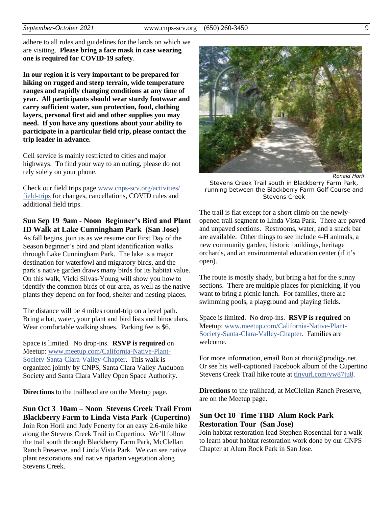adhere to all rules and guidelines for the lands on which we are visiting. **Please bring a face mask in case wearing one is required for COVID-19 safety**.

**In our region it is very important to be prepared for hiking on rugged and steep terrain, wide temperature ranges and rapidly changing conditions at any time of year. All participants should wear sturdy footwear and carry sufficient water, sun protection, food, clothing layers, personal first aid and other supplies you may need. If you have any questions about your ability to participate in a particular field trip, please contact the trip leader in advance.**

Cell service is mainly restricted to cities and major highways. To find your way to an outing, please do not rely solely on your phone.

Check our field trips page [www.cnps-scv.org/activities/](http://www.cnps-scv.org/activities/field-trips/) [field-trips](http://www.cnps-scv.org/activities/field-trips/) for changes, cancellations, COVID rules and additional field trips.

#### **Sun Sep 19 9am - Noon Beginner's Bird and Plant ID Walk at Lake Cunningham Park (San Jose)**

As fall begins, join us as we resume our First Day of the Season beginner's bird and plant identification walks through Lake Cunningham Park. The lake is a major destination for waterfowl and migratory birds, and the park's native garden draws many birds for its habitat value. On this walk, Vicki Silvas-Young will show you how to identify the common birds of our area, as well as the native plants they depend on for food, shelter and nesting places.

The distance will be 4 miles round-trip on a level path. Bring a hat, water, your plant and bird lists and binoculars. Wear comfortable walking shoes. Parking fee is \$6.

Space is limited. No drop-ins. **RSVP is required** on Meetup: [www.meetup.com/California-Native-Plant-](http://www.meetup.com/California-Native-Plant-Society-Santa-Clara-Valley-Chapter)[Society-Santa-Clara-Valley-Chapter.](http://www.meetup.com/California-Native-Plant-Society-Santa-Clara-Valley-Chapter) This walk is organized jointly by CNPS, Santa Clara Valley Audubon Society and Santa Clara Valley Open Space Authority.

**Directions** to the trailhead are on the Meetup page.

**Sun Oct 3 10am – Noon Stevens Creek Trail From Blackberry Farm to Linda Vista Park (Cupertino)** Join Ron Horii and Judy Fenerty for an easy 2.6-mile hike along the Stevens Creek Trail in Cupertino. We'll follow the trail south through Blackberry Farm Park, McClellan Ranch Preserve, and Linda Vista Park. We can see native plant restorations and native riparian vegetation along Stevens Creek.



*Ronald Horii*

Stevens Creek Trail south in Blackberry Farm Park, running between the Blackberry Farm Golf Course and Stevens Creek

The trail is flat except for a short climb on the newlyopened trail segment to Linda Vista Park. There are paved and unpaved sections. Restrooms, water, and a snack bar are available. Other things to see include 4-H animals, a new community garden, historic buildings, heritage orchards, and an environmental education center (if it's open).

The route is mostly shady, but bring a hat for the sunny sections. There are multiple places for picnicking, if you want to bring a picnic lunch. For families, there are swimming pools, a playground and playing fields.

Space is limited. No drop-ins. **RSVP is required** on Meetup: [www.meetup.com/California-Native-Plant-](http://www.meetup.com/California-Native-Plant-Society-Santa-Clara-Valley-Chapter)[Society-Santa-Clara-Valley-Chapter.](http://www.meetup.com/California-Native-Plant-Society-Santa-Clara-Valley-Chapter) Families are welcome.

For more information, email Ron at rhorii@prodigy.net. Or see his well-captioned Facebook album of the Cupertino Stevens Creek Trail hike route at [tinyurl.com/yw87ju8.](https://tinyurl.com/yw87ju8)

**Directions** to the trailhead, at McClellan Ranch Preserve, are on the Meetup page.

#### **Sun Oct 10 Time TBD Alum Rock Park Restoration Tour (San Jose)**

Join habitat restoration lead Stephen Rosenthal for a walk to learn about habitat restoration work done by our CNPS Chapter at Alum Rock Park in San Jose.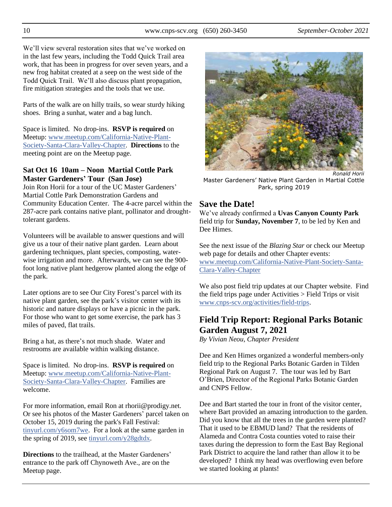We'll view several restoration sites that we've worked on in the last few years, including the Todd Quick Trail area work, that has been in progress for over seven years, and a new frog habitat created at a seep on the west side of the Todd Quick Trail. We'll also discuss plant propagation, fire mitigation strategies and the tools that we use.

Parts of the walk are on hilly trails, so wear sturdy hiking shoes. Bring a sunhat, water and a bag lunch.

Space is limited. No drop-ins. **RSVP is required** on Meetup: [www.meetup.com/California-Native-Plant-](http://www.meetup.com/California-Native-Plant-Society-Santa-Clara-Valley-Chapter)[Society-Santa-Clara-Valley-Chapter.](http://www.meetup.com/California-Native-Plant-Society-Santa-Clara-Valley-Chapter) **Directions** to the meeting point are on the Meetup page.

#### **Sat Oct 16 10am – Noon Martial Cottle Park Master Gardeners' Tour (San Jose)**

Join Ron Horii for a tour of the UC Master Gardeners' Martial Cottle Park Demonstration Gardens and Community Education Center. The 4-acre parcel within the 287-acre park contains native plant, pollinator and droughttolerant gardens.

Volunteers will be available to answer questions and will give us a tour of their native plant garden. Learn about gardening techniques, plant species, composting, waterwise irrigation and more. Afterwards, we can see the 900 foot long native plant hedgerow planted along the edge of the park.

Later options are to see Our City Forest's parcel with its native plant garden, see the park's visitor center with its historic and nature displays or have a picnic in the park. For those who want to get some exercise, the park has 3 miles of paved, flat trails.

Bring a hat, as there's not much shade. Water and restrooms are available within walking distance.

Space is limited. No drop-ins. **RSVP is required** on Meetup: [www.meetup.com/California-Native-Plant-](http://www.meetup.com/California-Native-Plant-Society-Santa-Clara-Valley-Chapter)[Society-Santa-Clara-Valley-Chapter.](http://www.meetup.com/California-Native-Plant-Society-Santa-Clara-Valley-Chapter) Families are welcome.

For more information, email Ron at rhorii@prodigy.net. Or see his photos of the Master Gardeners' parcel taken on October 15, 2019 during the park's Fall Festival: [tinyurl.com/y6som7we.](https://tinyurl.com/y6som7we) For a look at the same garden in the spring of 2019, se[e tinyurl.com/y28gdtdx.](https://tinyurl.com/y28gdtdx)

**Directions** to the trailhead, at the Master Gardeners' entrance to the park off Chynoweth Ave., are on the Meetup page.



*Ronald Horii* Master Gardeners' Native Plant Garden in Martial Cottle Park, spring 2019

# **Save the Date!**

We've already confirmed a **Uvas Canyon County Park**  field trip for **Sunday, November 7**, to be led by Ken and Dee Himes.

See the next issue of the *Blazing Star* or check our Meetup web page for details and other Chapter events: [www.meetup.com/California-Native-Plant-Society-Santa-](https://www.meetup.com/California-Native-Plant-Society-Santa-Clara-Valley-Chapter/)[Clara-Valley-Chapter](https://www.meetup.com/California-Native-Plant-Society-Santa-Clara-Valley-Chapter/)

We also post field trip updates at our Chapter website. Find the field trips page under Activities > Field Trips or visit [www.cnps-scv.org/activities/field-trips.](https://www.cnps-scv.org/activities/field-trips)

# **Field Trip Report: Regional Parks Botanic Garden August 7, 2021**

*By Vivian Neou, Chapter President*

Dee and Ken Himes organized a wonderful members-only field trip to the Regional Parks Botanic Garden in Tilden Regional Park on August 7. The tour was led by Bart O'Brien, Director of the Regional Parks Botanic Garden and CNPS Fellow.

Dee and Bart started the tour in front of the visitor center, where Bart provided an amazing introduction to the garden. Did you know that all the trees in the garden were planted? That it used to be EBMUD land? That the residents of Alameda and Contra Costa counties voted to raise their taxes during the depression to form the East Bay Regional Park District to acquire the land rather than allow it to be developed? I think my head was overflowing even before we started looking at plants!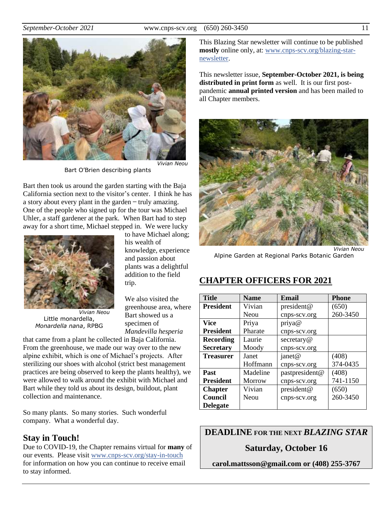

*Vivian Neou*

Bart O'Brien describing plants

Bart then took us around the garden starting with the Baja California section next to the visitor's center. I think he has a story about every plant in the garden  $-$  truly amazing. One of the people who signed up for the tour was Michael Uhler, a staff gardener at the park. When Bart had to step away for a short time, Michael stepped in. We were lucky



*Vivian Neou* Little monardella, *Monardella nana*, RPBG

to have Michael along; his wealth of knowledge, experience and passion about plants was a delightful addition to the field trip.

We also visited the greenhouse area, where Bart showed us a specimen of *Mandevilla hesperia*

that came from a plant he collected in Baja California. From the greenhouse, we made our way over to the new alpine exhibit, which is one of Michael's projects. After sterilizing our shoes with alcohol (strict best management practices are being observed to keep the plants healthy), we were allowed to walk around the exhibit with Michael and Bart while they told us about its design, buildout, plant collection and maintenance.

So many plants. So many stories. Such wonderful company. What a wonderful day.

#### **Stay in Touch!**

Due to COVID-19, the Chapter remains virtual for **many** of our events. Please visit [www.cnps-scv.org/stay-in-touch](https://www.cnps-scv.org/stay-in-touch) for information on how you can continue to receive email to stay informed.

This Blazing Star newsletter will continue to be published **mostly** online only, at: [www.cnps-scv.org/blazing-star](https://www.cnps-scv.org/blazing-star-newsletter)[newsletter.](https://www.cnps-scv.org/blazing-star-newsletter)

This newsletter issue, **September-October 2021, is being distributed in print form** as well. It is our first postpandemic **annual printed version** and has been mailed to all Chapter members.



*Vivian Neou* Alpine Garden at Regional Parks Botanic Garden

## **CHAPTER OFFICERS FOR 2021**

| <b>Title</b>     | <b>Name</b>   | Email          | <b>Phone</b> |
|------------------|---------------|----------------|--------------|
| <b>President</b> | Vivian        | president@     | (650)        |
|                  | Neou          | cnps-scv.org   | 260-3450     |
| Vice             | Priya         | priya@         |              |
| <b>President</b> | Pharate       | cnps-scv.org   |              |
| Recording        | Laurie        | secretary@     |              |
| <b>Secretary</b> | Moody         | cnps-scv.org   |              |
| <b>Treasurer</b> | Janet         | janet@         | (408)        |
|                  | Hoffmann      | cnps-scv.org   | 374-0435     |
| <b>Past</b>      | Madeline      | pastpresident@ | (408)        |
| <b>President</b> | <b>Morrow</b> | cnps-scv.org   | 741-1150     |
| <b>Chapter</b>   | Vivian        | president@     | (650)        |
| Council          | Neou          | cnps-scv.org   | 260-3450     |
| <b>Delegate</b>  |               |                |              |

**DEADLINE FOR THE NEXT** *BLAZING STAR*

#### **Saturday, October 16**

**carol.mattsson@gmail.com or (408) 255-3767**